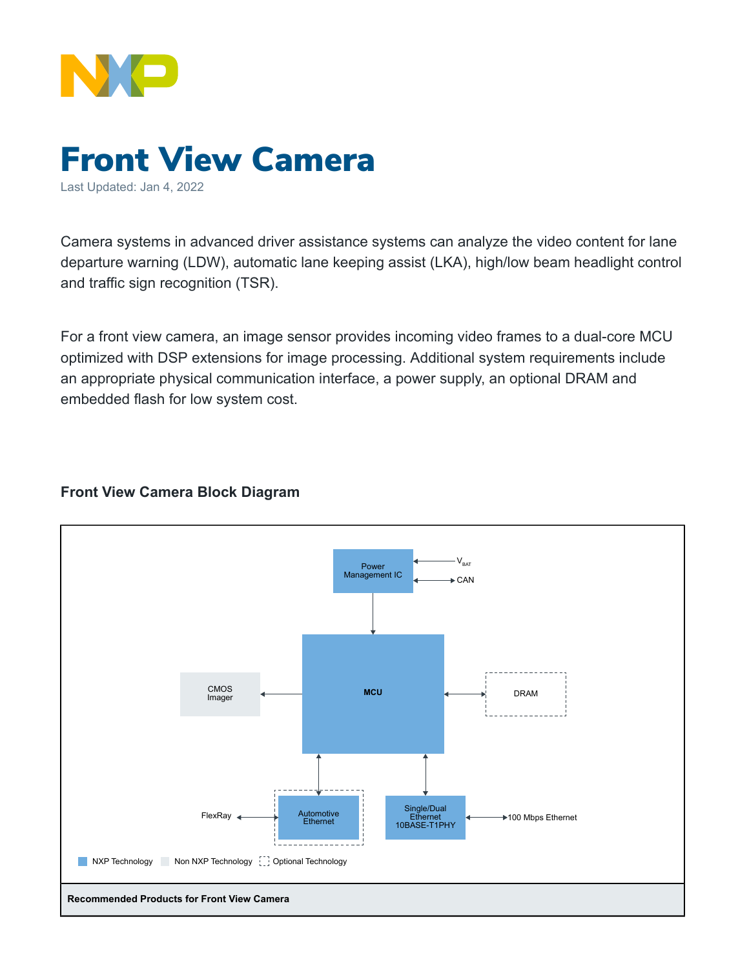



Camera systems in advanced driver assistance systems can analyze the video content for lane departure warning (LDW), automatic lane keeping assist (LKA), high/low beam headlight control and traffic sign recognition (TSR).

For a front view camera, an image sensor provides incoming video frames to a dual-core MCU optimized with DSP extensions for image processing. Additional system requirements include an appropriate physical communication interface, a power supply, an optional DRAM and embedded flash for low system cost.

## **Front View Camera Block Diagram**